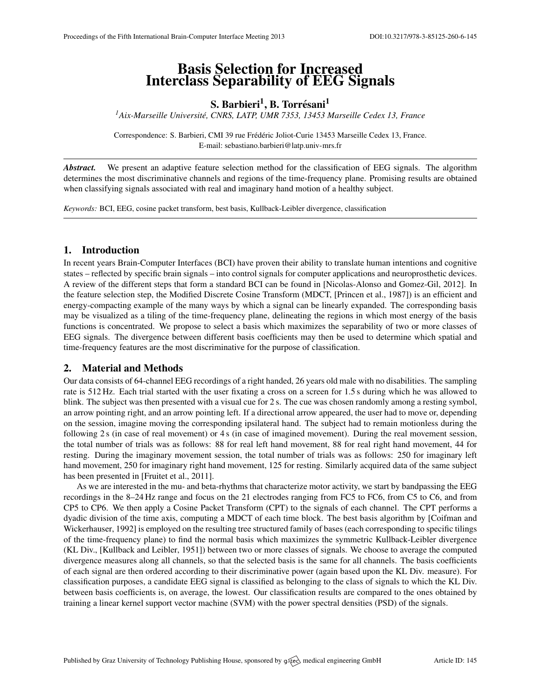# Basis Selection for Increased Interclass Separability of EEG Signals

## S. Barbieri<sup>1</sup>, B. Torrésani<sup>1</sup>

*<sup>1</sup>Aix-Marseille Universite, CNRS, LATP, UMR 7353, 13453 Marseille Cedex 13, France ´*

Correspondence: S. Barbieri, CMI 39 rue Frédéric Joliot-Curie 13453 Marseille Cedex 13, France. E-mail: [sebastiano.barbieri@latp.univ-mrs.fr](mailto:sebastiano.barbieri@latp.univ-mrs.fr)

*Abstract.* We present an adaptive feature selection method for the classification of EEG signals. The algorithm determines the most discriminative channels and regions of the time-frequency plane. Promising results are obtained when classifying signals associated with real and imaginary hand motion of a healthy subject.

*Keywords:* BCI, EEG, cosine packet transform, best basis, Kullback-Leibler divergence, classification

## 1. Introduction

In recent years Brain-Computer Interfaces (BCI) have proven their ability to translate human intentions and cognitive states – reflected by specific brain signals – into control signals for computer applications and neuroprosthetic devices. A review of the different steps that form a standard BCI can be found in [\[Nicolas-Alonso and Gomez-Gil,](#page-1-0) [2012\]](#page-1-0). In the feature selection step, the Modified Discrete Cosine Transform (MDCT, [\[Princen et al.,](#page-1-1) [1987\]](#page-1-1)) is an efficient and energy-compacting example of the many ways by which a signal can be linearly expanded. The corresponding basis may be visualized as a tiling of the time-frequency plane, delineating the regions in which most energy of the basis functions is concentrated. We propose to select a basis which maximizes the separability of two or more classes of EEG signals. The divergence between different basis coefficients may then be used to determine which spatial and time-frequency features are the most discriminative for the purpose of classification.

#### 2. Material and Methods

Our data consists of 64-channel EEG recordings of a right handed, 26 years old male with no disabilities. The sampling rate is 512 Hz. Each trial started with the user fixating a cross on a screen for 1.5 s during which he was allowed to blink. The subject was then presented with a visual cue for 2 s. The cue was chosen randomly among a resting symbol, an arrow pointing right, and an arrow pointing left. If a directional arrow appeared, the user had to move or, depending on the session, imagine moving the corresponding ipsilateral hand. The subject had to remain motionless during the following 2 s (in case of real movement) or 4 s (in case of imagined movement). During the real movement session, the total number of trials was as follows: 88 for real left hand movement, 88 for real right hand movement, 44 for resting. During the imaginary movement session, the total number of trials was as follows: 250 for imaginary left hand movement, 250 for imaginary right hand movement, 125 for resting. Similarly acquired data of the same subject has been presented in [\[Fruitet et al.,](#page-1-2) [2011\]](#page-1-2).

As we are interested in the mu- and beta-rhythms that characterize motor activity, we start by bandpassing the EEG recordings in the 8–24 Hz range and focus on the 21 electrodes ranging from FC5 to FC6, from C5 to C6, and from CP5 to CP6. We then apply a Cosine Packet Transform (CPT) to the signals of each channel. The CPT performs a dyadic division of the time axis, computing a MDCT of each time block. The best basis algorithm by [\[Coifman and](#page-1-3) [Wickerhauser,](#page-1-3) [1992\]](#page-1-3) is employed on the resulting tree structured family of bases (each corresponding to specific tilings of the time-frequency plane) to find the normal basis which maximizes the symmetric Kullback-Leibler divergence (KL Div., [\[Kullback and Leibler,](#page-1-4) [1951\]](#page-1-4)) between two or more classes of signals. We choose to average the computed divergence measures along all channels, so that the selected basis is the same for all channels. The basis coefficients of each signal are then ordered according to their discriminative power (again based upon the KL Div. measure). For classification purposes, a candidate EEG signal is classified as belonging to the class of signals to which the KL Div. between basis coefficients is, on average, the lowest. Our classification results are compared to the ones obtained by training a linear kernel support vector machine (SVM) with the power spectral densities (PSD) of the signals.